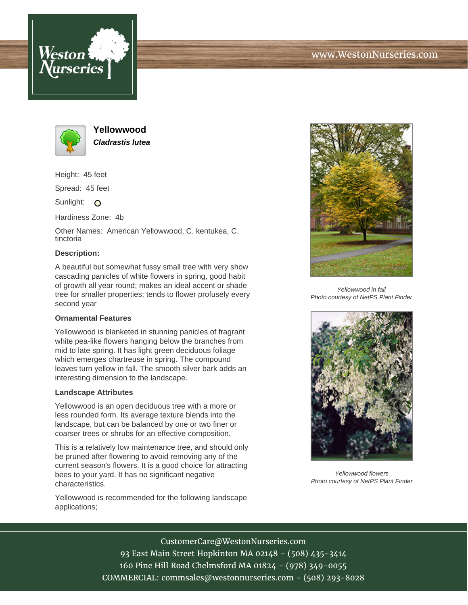



**Yellowwood Cladrastis lutea**

Height: 45 feet

Spread: 45 feet

Sunlight: O

Hardiness Zone: 4b

Other Names: American Yellowwood, C. kentukea, C. tinctoria

## **Description:**

A beautiful but somewhat fussy small tree with very show cascading panicles of white flowers in spring, good habit of growth all year round; makes an ideal accent or shade tree for smaller properties; tends to flower profusely every second year

## **Ornamental Features**

Yellowwood is blanketed in stunning panicles of fragrant white pea-like flowers hanging below the branches from mid to late spring. It has light green deciduous foliage which emerges chartreuse in spring. The compound leaves turn yellow in fall. The smooth silver bark adds an interesting dimension to the landscape.

## **Landscape Attributes**

Yellowwood is an open deciduous tree with a more or less rounded form. Its average texture blends into the landscape, but can be balanced by one or two finer or coarser trees or shrubs for an effective composition.

This is a relatively low maintenance tree, and should only be pruned after flowering to avoid removing any of the current season's flowers. It is a good choice for attracting bees to your yard. It has no significant negative characteristics.

Yellowwood is recommended for the following landscape applications;



Yellowwood in fall Photo courtesy of NetPS Plant Finder



Yellowwood flowers Photo courtesy of NetPS Plant Finder

CustomerCare@WestonNurseries.com

93 East Main Street Hopkinton MA 02148 - (508) 435-3414 160 Pine Hill Road Chelmsford MA 01824 - (978) 349-0055 COMMERCIAL: commsales@westonnurseries.com - (508) 293-8028